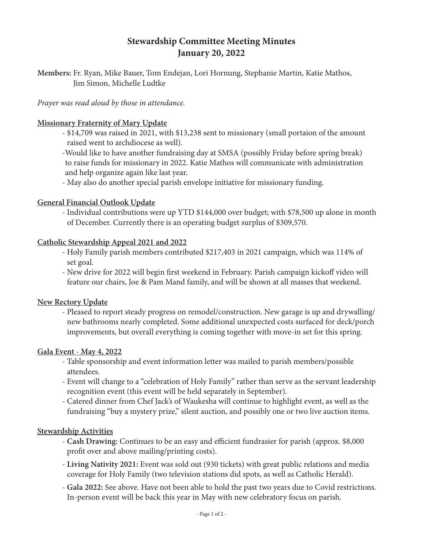# **Stewardship Committee Meeting Minutes January 20, 2022**

**Members:** Fr. Ryan, Mike Bauer, Tom Endejan, Lori Hornung, Stephanie Martin, Katie Mathos, Jim Simon, Michelle Ludtke

## *Prayer was read aloud by those in attendance.*

### **Missionary Fraternity of Mary Update**

- \$14,709 was raised in 2021, with \$13,238 sent to missionary (small portaion of the amount raised went to archdiocese as well).

-Would like to have another fundraising day at SMSA (possibly Friday before spring break) to raise funds for missionary in 2022. Katie Mathos will communicate with administration and help organize again like last year.

- May also do another special parish envelope initiative for missionary funding.

### **General Financial Outlook Update**

- Individual contributions were up YTD \$144,000 over budget; with \$78,500 up alone in month of December. Currently there is an operating budget surplus of \$309,570.

### **Catholic Stewardship Appeal 2021 and 2022**

- Holy Family parish members contributed \$217,403 in 2021 campaign, which was 114% of set goal.
- New drive for 2022 will begin first weekend in February. Parish campaign kickoff video will feature our chairs, Joe & Pam Mand family, and will be shown at all masses that weekend.

### **New Rectory Update**

- Pleased to report steady progress on remodel/construction. New garage is up and drywalling/ new bathrooms nearly completed. Some additional unexpected costs surfaced for deck/porch improvements, but overall everything is coming together with move-in set for this spring.

#### **Gala Event - May 4, 2022**

- Table sponsorship and event information letter was mailed to parish members/possible attendees.
- Event will change to a "celebration of Holy Family" rather than serve as the servant leadership recognition event (this event will be held separately in September).
- Catered dinner from Chef Jack's of Waukesha will continue to highlight event, as well as the fundraising "buy a mystery prize," silent auction, and possibly one or two live auction items.

### **Stewardship Activities**

- **Cash Drawing:** Continues to be an easy and efficient fundrasier for parish (approx. \$8,000 profit over and above mailing/printing costs).
- **Living Nativity 2021:** Event was sold out (930 tickets) with great public relations and media coverage for Holy Family (two television stations did spots, as well as Catholic Herald).
- **Gala 2022:** See above. Have not been able to hold the past two years due to Covid restrictions. In-person event will be back this year in May with new celebratory focus on parish.